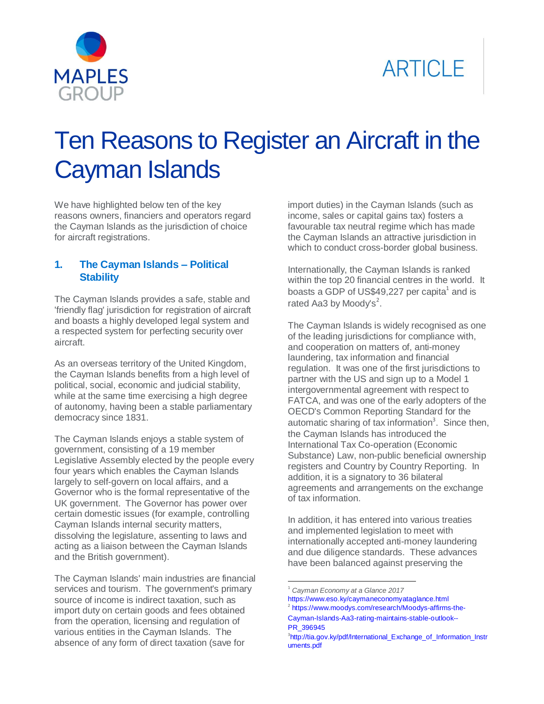



# Ten Reasons to Register an Aircraft in the Cayman Islands

We have highlighted below ten of the key reasons owners, financiers and operators regard the Cayman Islands as the jurisdiction of choice for aircraft registrations.

### **1. The Cayman Islands – Political Stability**

The Cayman Islands provides a safe, stable and 'friendly flag' jurisdiction for registration of aircraft and boasts a highly developed legal system and a respected system for perfecting security over aircraft.

As an overseas territory of the United Kingdom, the Cayman Islands benefits from a high level of political, social, economic and judicial stability, while at the same time exercising a high degree of autonomy, having been a stable parliamentary democracy since 1831.

The Cayman Islands enjoys a stable system of government, consisting of a 19 member Legislative Assembly elected by the people every four years which enables the Cayman Islands largely to self-govern on local affairs, and a Governor who is the formal representative of the UK government. The Governor has power over certain domestic issues (for example, controlling Cayman Islands internal security matters, dissolving the legislature, assenting to laws and acting as a liaison between the Cayman Islands and the British government).

The Cayman Islands' main industries are financial services and tourism. The government's primary source of income is indirect taxation, such as import duty on certain goods and fees obtained from the operation, licensing and regulation of various entities in the Cayman Islands. The absence of any form of direct taxation (save for

import duties) in the Cayman Islands (such as income, sales or capital gains tax) fosters a favourable tax neutral regime which has made the Cayman Islands an attractive jurisdiction in which to conduct cross-border global business.

Internationally, the Cayman Islands is ranked within the top 20 financial centres in the world. It boasts a GDP of US\$49,227 per capita $^1$  and is rated Aa3 by Moody's $^2$ .

The Cayman Islands is widely recognised as one of the leading jurisdictions for compliance with, and cooperation on matters of, anti-money laundering, tax information and financial regulation. It was one of the first jurisdictions to partner with the US and sign up to a Model 1 intergovernmental agreement with respect to FATCA, and was one of the early adopters of the OECD's Common Reporting Standard for the automatic sharing of tax information<sup>3</sup>. Since then, the Cayman Islands has introduced the International Tax Co-operation (Economic Substance) Law, non-public beneficial ownership registers and Country by Country Reporting. In addition, it is a signatory to 36 bilateral agreements and arrangements on the exchange of tax information.

In addition, it has entered into various treaties and implemented legislation to meet with internationally accepted anti-money laundering and due diligence standards. These advances have been balanced against preserving the

 $\ddot{\phantom{a}}$ 

<sup>1</sup> *Cayman Economy at a Glance 2017*

<https://www.eso.ky/caymaneconomyataglance.html> 2 [https://www.moodys.com/research/Moodys-affirms-the-](https://www.moodys.com/research/Moodys-affirms-the-Cayman-Islands-Aa3-rating-maintains-stable-outlook--PR_396945)[Cayman-Islands-Aa3-rating-maintains-stable-outlook--](https://www.moodys.com/research/Moodys-affirms-the-Cayman-Islands-Aa3-rating-maintains-stable-outlook--PR_396945) [PR\\_396945](https://www.moodys.com/research/Moodys-affirms-the-Cayman-Islands-Aa3-rating-maintains-stable-outlook--PR_396945)

<sup>&</sup>lt;sup>3</sup>[http://tia.gov.ky/pdf/International\\_Exchange\\_of\\_Information\\_Instr](http://tia.gov.ky/pdf/International_Exchange_of_Information_Instruments.pdf) [uments.pdf](http://tia.gov.ky/pdf/International_Exchange_of_Information_Instruments.pdf)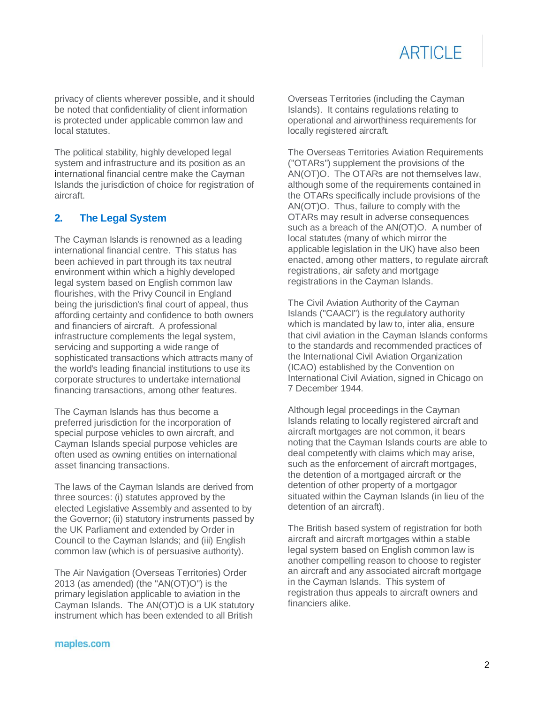privacy of clients wherever possible, and it should be noted that confidentiality of client information is protected under applicable common law and local statutes.

The political stability, highly developed legal system and infrastructure and its position as an international financial centre make the Cayman Islands the jurisdiction of choice for registration of aircraft.

# **2. The Legal System**

The Cayman Islands is renowned as a leading international financial centre. This status has been achieved in part through its tax neutral environment within which a highly developed legal system based on English common law flourishes, with the Privy Council in England being the jurisdiction's final court of appeal, thus affording certainty and confidence to both owners and financiers of aircraft. A professional infrastructure complements the legal system, servicing and supporting a wide range of sophisticated transactions which attracts many of the world's leading financial institutions to use its corporate structures to undertake international financing transactions, among other features.

The Cayman Islands has thus become a preferred jurisdiction for the incorporation of special purpose vehicles to own aircraft, and Cayman Islands special purpose vehicles are often used as owning entities on international asset financing transactions.

The laws of the Cayman Islands are derived from three sources: (i) statutes approved by the elected Legislative Assembly and assented to by the Governor; (ii) statutory instruments passed by the UK Parliament and extended by Order in Council to the Cayman Islands; and (iii) English common law (which is of persuasive authority).

The Air Navigation (Overseas Territories) Order 2013 (as amended) (the "AN(OT)O") is the primary legislation applicable to aviation in the Cayman Islands. The AN(OT)O is a UK statutory instrument which has been extended to all British

Overseas Territories (including the Cayman Islands). It contains regulations relating to operational and airworthiness requirements for locally registered aircraft.

The Overseas Territories Aviation Requirements ("OTARs") supplement the provisions of the AN(OT)O. The OTARs are not themselves law, although some of the requirements contained in the OTARs specifically include provisions of the AN(OT)O. Thus, failure to comply with the OTARs may result in adverse consequences such as a breach of the AN(OT)O. A number of local statutes (many of which mirror the applicable legislation in the UK) have also been enacted, among other matters, to regulate aircraft registrations, air safety and mortgage registrations in the Cayman Islands.

The Civil Aviation Authority of the Cayman Islands ("CAACI") is the regulatory authority which is mandated by law to, inter alia, ensure that civil aviation in the Cayman Islands conforms to the standards and recommended practices of the International Civil Aviation Organization (ICAO) established by the Convention on International Civil Aviation, signed in Chicago on 7 December 1944.

Although legal proceedings in the Cayman Islands relating to locally registered aircraft and aircraft mortgages are not common, it bears noting that the Cayman Islands courts are able to deal competently with claims which may arise, such as the enforcement of aircraft mortgages, the detention of a mortgaged aircraft or the detention of other property of a mortgagor situated within the Cayman Islands (in lieu of the detention of an aircraft).

The British based system of registration for both aircraft and aircraft mortgages within a stable legal system based on English common law is another compelling reason to choose to register an aircraft and any associated aircraft mortgage in the Cayman Islands. This system of registration thus appeals to aircraft owners and financiers alike.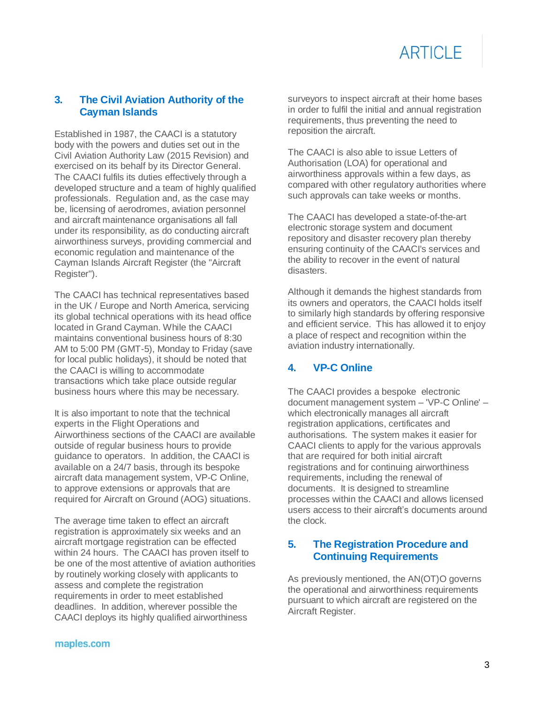### **3. The Civil Aviation Authority of the Cayman Islands**

Established in 1987, the CAACI is a statutory body with the powers and duties set out in the Civil Aviation Authority Law (2015 Revision) and exercised on its behalf by its Director General. The CAACI fulfils its duties effectively through a developed structure and a team of highly qualified professionals. Regulation and, as the case may be, licensing of aerodromes, aviation personnel and aircraft maintenance organisations all fall under its responsibility, as do conducting aircraft airworthiness surveys, providing commercial and economic regulation and maintenance of the Cayman Islands Aircraft Register (the "Aircraft Register").

The CAACI has technical representatives based in the UK / Europe and North America, servicing its global technical operations with its head office located in Grand Cayman. While the CAACI maintains conventional business hours of 8:30 AM to 5:00 PM (GMT-5), Monday to Friday (save for local public holidays), it should be noted that the CAACI is willing to accommodate transactions which take place outside regular business hours where this may be necessary.

It is also important to note that the technical experts in the Flight Operations and Airworthiness sections of the CAACI are available outside of regular business hours to provide guidance to operators. In addition, the CAACI is available on a 24/7 basis, through its bespoke aircraft data management system, VP-C Online, to approve extensions or approvals that are required for Aircraft on Ground (AOG) situations.

The average time taken to effect an aircraft registration is approximately six weeks and an aircraft mortgage registration can be effected within 24 hours. The CAACI has proven itself to be one of the most attentive of aviation authorities by routinely working closely with applicants to assess and complete the registration requirements in order to meet established deadlines. In addition, wherever possible the CAACI deploys its highly qualified airworthiness

surveyors to inspect aircraft at their home bases in order to fulfil the initial and annual registration requirements, thus preventing the need to reposition the aircraft.

The CAACI is also able to issue Letters of Authorisation (LOA) for operational and airworthiness approvals within a few days, as compared with other regulatory authorities where such approvals can take weeks or months.

The CAACI has developed a state-of-the-art electronic storage system and document repository and disaster recovery plan thereby ensuring continuity of the CAACI's services and the ability to recover in the event of natural disasters.

Although it demands the highest standards from its owners and operators, the CAACI holds itself to similarly high standards by offering responsive and efficient service. This has allowed it to enjoy a place of respect and recognition within the aviation industry internationally.

# **4. VP-C Online**

The CAACI provides a bespoke electronic document management system – 'VP-C Online' – which electronically manages all aircraft registration applications, certificates and authorisations. The system makes it easier for CAACI clients to apply for the various approvals that are required for both initial aircraft registrations and for continuing airworthiness requirements, including the renewal of documents. It is designed to streamline processes within the CAACI and allows licensed users access to their aircraft's documents around the clock.

# **5. The Registration Procedure and Continuing Requirements**

As previously mentioned, the AN(OT)O governs the operational and airworthiness requirements pursuant to which aircraft are registered on the Aircraft Register.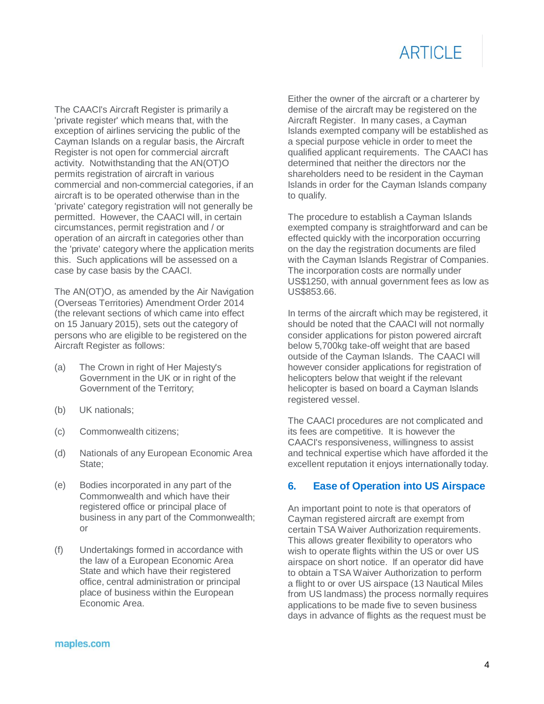The CAACI's Aircraft Register is primarily a 'private register' which means that, with the exception of airlines servicing the public of the Cayman Islands on a regular basis, the Aircraft Register is not open for commercial aircraft activity. Notwithstanding that the AN(OT)O permits registration of aircraft in various commercial and non-commercial categories, if an aircraft is to be operated otherwise than in the 'private' category registration will not generally be permitted. However, the CAACI will, in certain circumstances, permit registration and / or operation of an aircraft in categories other than the 'private' category where the application merits this. Such applications will be assessed on a case by case basis by the CAACI.

The AN(OT)O, as amended by the Air Navigation (Overseas Territories) Amendment Order 2014 (the relevant sections of which came into effect on 15 January 2015), sets out the category of persons who are eligible to be registered on the Aircraft Register as follows:

- (a) The Crown in right of Her Majesty's Government in the UK or in right of the Government of the Territory;
- (b) UK nationals;
- (c) Commonwealth citizens;
- (d) Nationals of any European Economic Area State;
- (e) Bodies incorporated in any part of the Commonwealth and which have their registered office or principal place of business in any part of the Commonwealth; or
- (f) Undertakings formed in accordance with the law of a European Economic Area State and which have their registered office, central administration or principal place of business within the European Economic Area.

Either the owner of the aircraft or a charterer by demise of the aircraft may be registered on the Aircraft Register. In many cases, a Cayman Islands exempted company will be established as a special purpose vehicle in order to meet the qualified applicant requirements. The CAACI has determined that neither the directors nor the shareholders need to be resident in the Cayman Islands in order for the Cayman Islands company to qualify.

The procedure to establish a Cayman Islands exempted company is straightforward and can be effected quickly with the incorporation occurring on the day the registration documents are filed with the Cayman Islands Registrar of Companies. The incorporation costs are normally under US\$1250, with annual government fees as low as US\$853.66.

In terms of the aircraft which may be registered, it should be noted that the CAACI will not normally consider applications for piston powered aircraft below 5,700kg take-off weight that are based outside of the Cayman Islands. The CAACI will however consider applications for registration of helicopters below that weight if the relevant helicopter is based on board a Cayman Islands registered vessel.

The CAACI procedures are not complicated and its fees are competitive. It is however the CAACI's responsiveness, willingness to assist and technical expertise which have afforded it the excellent reputation it enjoys internationally today.

# **6. Ease of Operation into US Airspace**

An important point to note is that operators of Cayman registered aircraft are exempt from certain TSA Waiver Authorization requirements. This allows greater flexibility to operators who wish to operate flights within the US or over US airspace on short notice. If an operator did have to obtain a TSA Waiver Authorization to perform a flight to or over US airspace (13 Nautical Miles from US landmass) the process normally requires applications to be made five to seven business days in advance of flights as the request must be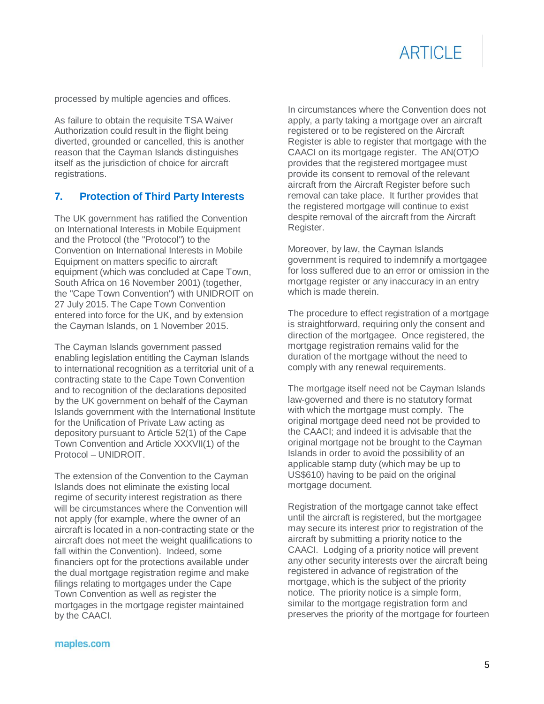processed by multiple agencies and offices.

As failure to obtain the requisite TSA Waiver Authorization could result in the flight being diverted, grounded or cancelled, this is another reason that the Cayman Islands distinguishes itself as the jurisdiction of choice for aircraft registrations.

### **7. Protection of Third Party Interests**

The UK government has ratified the Convention on International Interests in Mobile Equipment and the Protocol (the "Protocol") to the Convention on International Interests in Mobile Equipment on matters specific to aircraft equipment (which was concluded at Cape Town, South Africa on 16 November 2001) (together, the "Cape Town Convention") with UNIDROIT on 27 July 2015. The Cape Town Convention entered into force for the UK, and by extension the Cayman Islands, on 1 November 2015.

The Cayman Islands government passed enabling legislation entitling the Cayman Islands to international recognition as a territorial unit of a contracting state to the Cape Town Convention and to recognition of the declarations deposited by the UK government on behalf of the Cayman Islands government with the International Institute for the Unification of Private Law acting as depository pursuant to Article 52(1) of the Cape Town Convention and Article XXXVII(1) of the Protocol – UNIDROIT.

The extension of the Convention to the Cayman Islands does not eliminate the existing local regime of security interest registration as there will be circumstances where the Convention will not apply (for example, where the owner of an aircraft is located in a non-contracting state or the aircraft does not meet the weight qualifications to fall within the Convention). Indeed, some financiers opt for the protections available under the dual mortgage registration regime and make filings relating to mortgages under the Cape Town Convention as well as register the mortgages in the mortgage register maintained by the CAACI.

In circumstances where the Convention does not apply, a party taking a mortgage over an aircraft registered or to be registered on the Aircraft Register is able to register that mortgage with the CAACI on its mortgage register. The AN(OT)O provides that the registered mortgagee must provide its consent to removal of the relevant aircraft from the Aircraft Register before such removal can take place. It further provides that the registered mortgage will continue to exist despite removal of the aircraft from the Aircraft Register.

Moreover, by law, the Cayman Islands government is required to indemnify a mortgagee for loss suffered due to an error or omission in the mortgage register or any inaccuracy in an entry which is made therein.

The procedure to effect registration of a mortgage is straightforward, requiring only the consent and direction of the mortgagee. Once registered, the mortgage registration remains valid for the duration of the mortgage without the need to comply with any renewal requirements.

The mortgage itself need not be Cayman Islands law-governed and there is no statutory format with which the mortgage must comply. The original mortgage deed need not be provided to the CAACI; and indeed it is advisable that the original mortgage not be brought to the Cayman Islands in order to avoid the possibility of an applicable stamp duty (which may be up to US\$610) having to be paid on the original mortgage document.

Registration of the mortgage cannot take effect until the aircraft is registered, but the mortgagee may secure its interest prior to registration of the aircraft by submitting a priority notice to the CAACI. Lodging of a priority notice will prevent any other security interests over the aircraft being registered in advance of registration of the mortgage, which is the subject of the priority notice. The priority notice is a simple form, similar to the mortgage registration form and preserves the priority of the mortgage for fourteen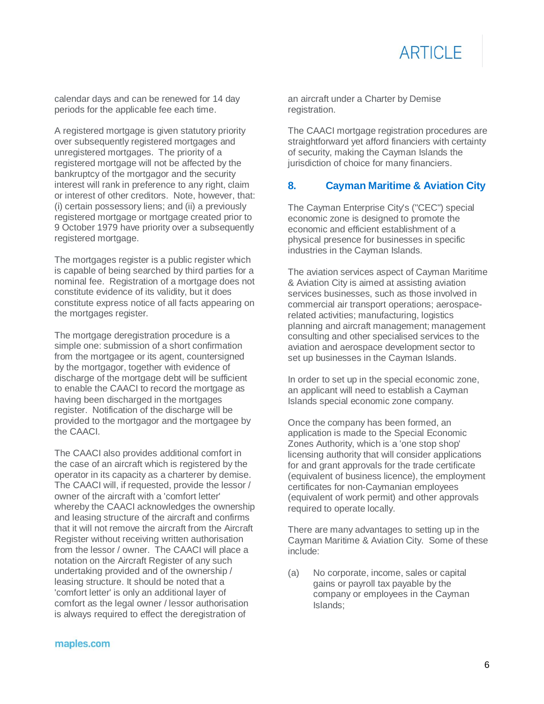

calendar days and can be renewed for 14 day periods for the applicable fee each time.

A registered mortgage is given statutory priority over subsequently registered mortgages and unregistered mortgages. The priority of a registered mortgage will not be affected by the bankruptcy of the mortgagor and the security interest will rank in preference to any right, claim or interest of other creditors. Note, however, that: (i) certain possessory liens; and (ii) a previously registered mortgage or mortgage created prior to 9 October 1979 have priority over a subsequently registered mortgage.

The mortgages register is a public register which is capable of being searched by third parties for a nominal fee. Registration of a mortgage does not constitute evidence of its validity, but it does constitute express notice of all facts appearing on the mortgages register.

The mortgage deregistration procedure is a simple one: submission of a short confirmation from the mortgagee or its agent, countersigned by the mortgagor, together with evidence of discharge of the mortgage debt will be sufficient to enable the CAACI to record the mortgage as having been discharged in the mortgages register. Notification of the discharge will be provided to the mortgagor and the mortgagee by the CAACI.

The CAACI also provides additional comfort in the case of an aircraft which is registered by the operator in its capacity as a charterer by demise. The CAACI will, if requested, provide the lessor / owner of the aircraft with a 'comfort letter' whereby the CAACI acknowledges the ownership and leasing structure of the aircraft and confirms that it will not remove the aircraft from the Aircraft Register without receiving written authorisation from the lessor / owner. The CAACI will place a notation on the Aircraft Register of any such undertaking provided and of the ownership / leasing structure. It should be noted that a 'comfort letter' is only an additional layer of comfort as the legal owner / lessor authorisation is always required to effect the deregistration of

an aircraft under a Charter by Demise registration.

The CAACI mortgage registration procedures are straightforward yet afford financiers with certainty of security, making the Cayman Islands the jurisdiction of choice for many financiers.

# **8. Cayman Maritime & Aviation City**

The Cayman Enterprise City's ("CEC") special economic zone is designed to promote the economic and efficient establishment of a physical presence for businesses in specific industries in the Cayman Islands.

The aviation services aspect of Cayman Maritime & Aviation City is aimed at assisting aviation services businesses, such as those involved in commercial air transport operations; aerospacerelated activities; manufacturing, logistics planning and aircraft management; management consulting and other specialised services to the aviation and aerospace development sector to set up businesses in the Cayman Islands.

In order to set up in the special economic zone, an applicant will need to establish a Cayman Islands special economic zone company.

Once the company has been formed, an application is made to the Special Economic Zones Authority, which is a 'one stop shop' licensing authority that will consider applications for and grant approvals for the trade certificate (equivalent of business licence), the employment certificates for non-Caymanian employees (equivalent of work permit) and other approvals required to operate locally.

There are many advantages to setting up in the Cayman Maritime & Aviation City. Some of these include:

(a) No corporate, income, sales or capital gains or payroll tax payable by the company or employees in the Cayman Islands;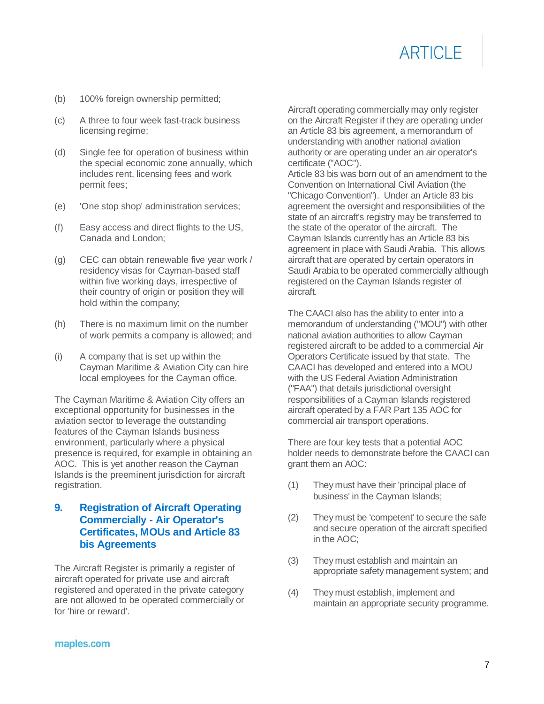- (b) 100% foreign ownership permitted;
- (c) A three to four week fast-track business licensing regime;
- (d) Single fee for operation of business within the special economic zone annually, which includes rent, licensing fees and work permit fees;
- (e) 'One stop shop' administration services;
- (f) Easy access and direct flights to the US, Canada and London;
- (g) CEC can obtain renewable five year work / residency visas for Cayman-based staff within five working days, irrespective of their country of origin or position they will hold within the company;
- (h) There is no maximum limit on the number of work permits a company is allowed; and
- (i) A company that is set up within the Cayman Maritime & Aviation City can hire local employees for the Cayman office.

The Cayman Maritime & Aviation City offers an exceptional opportunity for businesses in the aviation sector to leverage the outstanding features of the Cayman Islands business environment, particularly where a physical presence is required, for example in obtaining an AOC. This is yet another reason the Cayman Islands is the preeminent jurisdiction for aircraft registration.

### **9. Registration of Aircraft Operating Commercially - Air Operator's Certificates, MOUs and Article 83 bis Agreements**

The Aircraft Register is primarily a register of aircraft operated for private use and aircraft registered and operated in the private category are not allowed to be operated commercially or for 'hire or reward'.

Aircraft operating commercially may only register on the Aircraft Register if they are operating under an Article 83 bis agreement, a memorandum of understanding with another national aviation authority or are operating under an air operator's certificate ("AOC").

Article 83 bis was born out of an amendment to the Convention on International Civil Aviation (the "Chicago Convention"). Under an Article 83 bis agreement the oversight and responsibilities of the state of an aircraft's registry may be transferred to the state of the operator of the aircraft. The Cayman Islands currently has an Article 83 bis agreement in place with Saudi Arabia. This allows aircraft that are operated by certain operators in Saudi Arabia to be operated commercially although registered on the Cayman Islands register of aircraft.

The CAACI also has the ability to enter into a memorandum of understanding ("MOU") with other national aviation authorities to allow Cayman registered aircraft to be added to a commercial Air Operators Certificate issued by that state. The CAACI has developed and entered into a MOU with the US Federal Aviation Administration ("FAA") that details jurisdictional oversight responsibilities of a Cayman Islands registered aircraft operated by a FAR Part 135 AOC for commercial air transport operations.

There are four key tests that a potential AOC holder needs to demonstrate before the CAACI can grant them an AOC:

- (1) They must have their 'principal place of business' in the Cayman Islands;
- (2) They must be 'competent' to secure the safe and secure operation of the aircraft specified in the AOC;
- (3) They must establish and maintain an appropriate safety management system; and
- (4) They must establish, implement and maintain an appropriate security programme.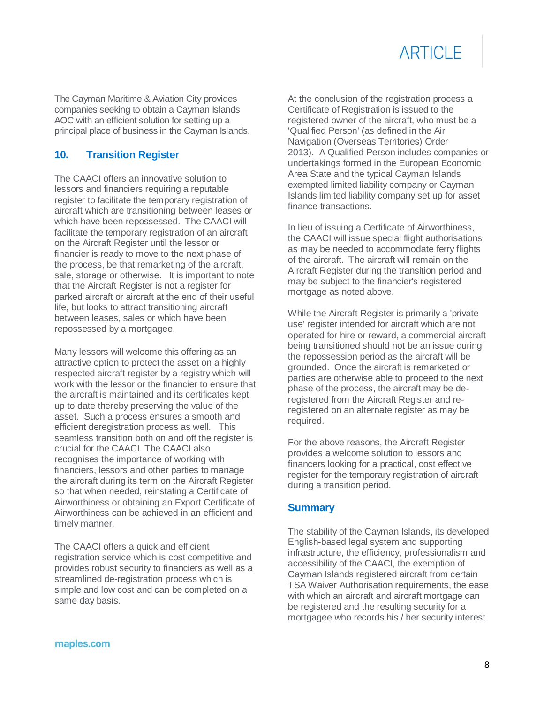The Cayman Maritime & Aviation City provides companies seeking to obtain a Cayman Islands AOC with an efficient solution for setting up a principal place of business in the Cayman Islands.

# **10. Transition Register**

The CAACI offers an innovative solution to lessors and financiers requiring a reputable register to facilitate the temporary registration of aircraft which are transitioning between leases or which have been repossessed. The CAACI will facilitate the temporary registration of an aircraft on the Aircraft Register until the lessor or financier is ready to move to the next phase of the process, be that remarketing of the aircraft, sale, storage or otherwise. It is important to note that the Aircraft Register is not a register for parked aircraft or aircraft at the end of their useful life, but looks to attract transitioning aircraft between leases, sales or which have been repossessed by a mortgagee.

Many lessors will welcome this offering as an attractive option to protect the asset on a highly respected aircraft register by a registry which will work with the lessor or the financier to ensure that the aircraft is maintained and its certificates kept up to date thereby preserving the value of the asset. Such a process ensures a smooth and efficient deregistration process as well. This seamless transition both on and off the register is crucial for the CAACI. The CAACI also recognises the importance of working with financiers, lessors and other parties to manage the aircraft during its term on the Aircraft Register so that when needed, reinstating a Certificate of Airworthiness or obtaining an Export Certificate of Airworthiness can be achieved in an efficient and timely manner.

The CAACI offers a quick and efficient registration service which is cost competitive and provides robust security to financiers as well as a streamlined de-registration process which is simple and low cost and can be completed on a same day basis.

At the conclusion of the registration process a Certificate of Registration is issued to the registered owner of the aircraft, who must be a 'Qualified Person' (as defined in the Air Navigation (Overseas Territories) Order 2013). A Qualified Person includes companies or undertakings formed in the European Economic Area State and the typical Cayman Islands exempted limited liability company or Cayman Islands limited liability company set up for asset finance transactions.

In lieu of issuing a Certificate of Airworthiness, the CAACI will issue special flight authorisations as may be needed to accommodate ferry flights of the aircraft. The aircraft will remain on the Aircraft Register during the transition period and may be subject to the financier's registered mortgage as noted above.

While the Aircraft Register is primarily a 'private use' register intended for aircraft which are not operated for hire or reward, a commercial aircraft being transitioned should not be an issue during the repossession period as the aircraft will be grounded. Once the aircraft is remarketed or parties are otherwise able to proceed to the next phase of the process, the aircraft may be deregistered from the Aircraft Register and reregistered on an alternate register as may be required.

For the above reasons, the Aircraft Register provides a welcome solution to lessors and financers looking for a practical, cost effective register for the temporary registration of aircraft during a transition period.

### **Summary**

The stability of the Cayman Islands, its developed English-based legal system and supporting infrastructure, the efficiency, professionalism and accessibility of the CAACI, the exemption of Cayman Islands registered aircraft from certain TSA Waiver Authorisation requirements, the ease with which an aircraft and aircraft mortgage can be registered and the resulting security for a mortgagee who records his / her security interest